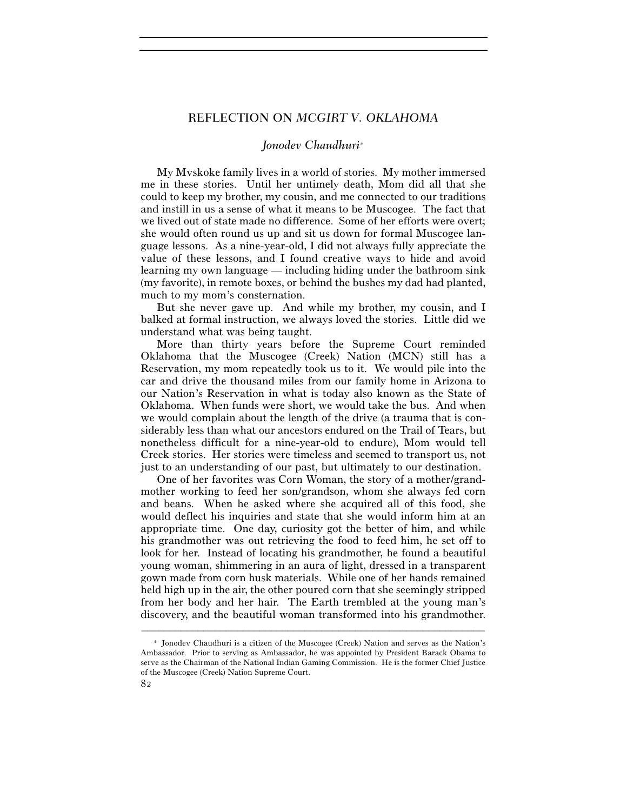## REFLECTION ON *MCGIRT V. OKLAHOMA*

## *Jonodev Chaudhuri*<sup>∗</sup>

My Mvskoke family lives in a world of stories. My mother immersed me in these stories. Until her untimely death, Mom did all that she could to keep my brother, my cousin, and me connected to our traditions and instill in us a sense of what it means to be Muscogee. The fact that we lived out of state made no difference. Some of her efforts were overt; she would often round us up and sit us down for formal Muscogee language lessons. As a nine-year-old, I did not always fully appreciate the value of these lessons, and I found creative ways to hide and avoid learning my own language — including hiding under the bathroom sink (my favorite), in remote boxes, or behind the bushes my dad had planted, much to my mom's consternation.

But she never gave up. And while my brother, my cousin, and I balked at formal instruction, we always loved the stories. Little did we understand what was being taught.

More than thirty years before the Supreme Court reminded Oklahoma that the Muscogee (Creek) Nation (MCN) still has a Reservation, my mom repeatedly took us to it. We would pile into the car and drive the thousand miles from our family home in Arizona to our Nation's Reservation in what is today also known as the State of Oklahoma. When funds were short, we would take the bus. And when we would complain about the length of the drive (a trauma that is considerably less than what our ancestors endured on the Trail of Tears, but nonetheless difficult for a nine-year-old to endure), Mom would tell Creek stories. Her stories were timeless and seemed to transport us, not just to an understanding of our past, but ultimately to our destination.

One of her favorites was Corn Woman, the story of a mother/grandmother working to feed her son/grandson, whom she always fed corn and beans. When he asked where she acquired all of this food, she would deflect his inquiries and state that she would inform him at an appropriate time. One day, curiosity got the better of him, and while his grandmother was out retrieving the food to feed him, he set off to look for her. Instead of locating his grandmother, he found a beautiful young woman, shimmering in an aura of light, dressed in a transparent gown made from corn husk materials. While one of her hands remained held high up in the air, the other poured corn that she seemingly stripped from her body and her hair. The Earth trembled at the young man's discovery, and the beautiful woman transformed into his grandmother.

–––––––––––––––––––––––––––––––––––––––––––––––––––––––––––––

<sup>∗</sup> Jonodev Chaudhuri is a citizen of the Muscogee (Creek) Nation and serves as the Nation's Ambassador. Prior to serving as Ambassador, he was appointed by President Barack Obama to serve as the Chairman of the National Indian Gaming Commission. He is the former Chief Justice of the Muscogee (Creek) Nation Supreme Court.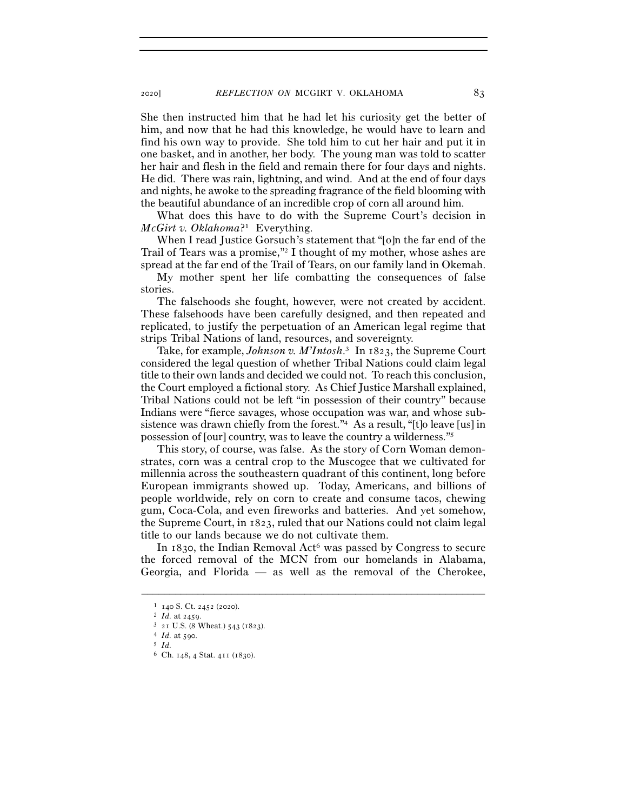She then instructed him that he had let his curiosity get the better of him, and now that he had this knowledge, he would have to learn and find his own way to provide. She told him to cut her hair and put it in one basket, and in another, her body. The young man was told to scatter her hair and flesh in the field and remain there for four days and nights. He did. There was rain, lightning, and wind. And at the end of four days and nights, he awoke to the spreading fragrance of the field blooming with the beautiful abundance of an incredible crop of corn all around him.

What does this have to do with the Supreme Court's decision in *McGirt v. Oklahoma*?1 Everything.

When I read Justice Gorsuch's statement that "[o]n the far end of the Trail of Tears was a promise,"2 I thought of my mother, whose ashes are spread at the far end of the Trail of Tears, on our family land in Okemah.

My mother spent her life combatting the consequences of false stories.

The falsehoods she fought, however, were not created by accident. These falsehoods have been carefully designed, and then repeated and replicated, to justify the perpetuation of an American legal regime that strips Tribal Nations of land, resources, and sovereignty.

Take, for example, *Johnson v. M'Intosh*. 3 In 1823, the Supreme Court considered the legal question of whether Tribal Nations could claim legal title to their own lands and decided we could not. To reach this conclusion, the Court employed a fictional story. As Chief Justice Marshall explained, Tribal Nations could not be left "in possession of their country" because Indians were "fierce savages, whose occupation was war, and whose subsistence was drawn chiefly from the forest."4 As a result, "[t]o leave [us] in possession of [our] country, was to leave the country a wilderness."5

This story, of course, was false. As the story of Corn Woman demonstrates, corn was a central crop to the Muscogee that we cultivated for millennia across the southeastern quadrant of this continent, long before European immigrants showed up. Today, Americans, and billions of people worldwide, rely on corn to create and consume tacos, chewing gum, Coca-Cola, and even fireworks and batteries. And yet somehow, the Supreme Court, in 1823, ruled that our Nations could not claim legal title to our lands because we do not cultivate them.

In 1830, the Indian Removal Act<sup>6</sup> was passed by Congress to secure the forced removal of the MCN from our homelands in Alabama, Georgia, and Florida — as well as the removal of the Cherokee,

–––––––––––––––––––––––––––––––––––––––––––––––––––––––––––––

<sup>1</sup> <sup>140</sup> S. Ct. 2452 (<sup>2020</sup>). 2 *Id.* at <sup>2459</sup>. 3 <sup>21</sup> U.S. (8 Wheat.) 543 (<sup>1823</sup>). 4 *Id.* at <sup>590</sup>. 5 *Id.* 6 Ch. <sup>148</sup>, 4 Stat. 411 (1830).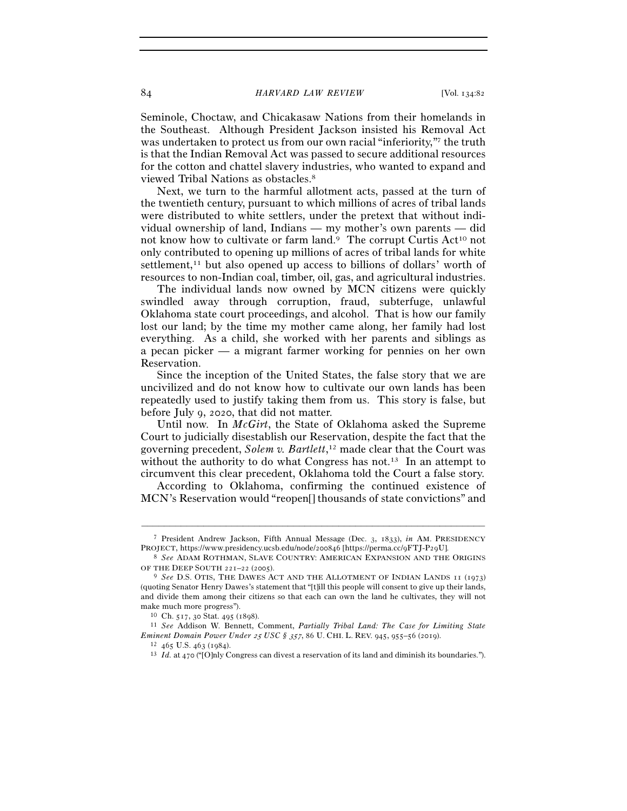84 *HARVARD LAW REVIEW* [Vol. 134:82

Seminole, Choctaw, and Chicakasaw Nations from their homelands in the Southeast. Although President Jackson insisted his Removal Act was undertaken to protect us from our own racial "inferiority," the truth is that the Indian Removal Act was passed to secure additional resources for the cotton and chattel slavery industries, who wanted to expand and viewed Tribal Nations as obstacles.8

Next, we turn to the harmful allotment acts, passed at the turn of the twentieth century, pursuant to which millions of acres of tribal lands were distributed to white settlers, under the pretext that without individual ownership of land, Indians — my mother's own parents — did not know how to cultivate or farm land.<sup>9</sup> The corrupt Curtis Act<sup>10</sup> not only contributed to opening up millions of acres of tribal lands for white settlement,<sup>11</sup> but also opened up access to billions of dollars' worth of resources to non-Indian coal, timber, oil, gas, and agricultural industries.

The individual lands now owned by MCN citizens were quickly swindled away through corruption, fraud, subterfuge, unlawful Oklahoma state court proceedings, and alcohol. That is how our family lost our land; by the time my mother came along, her family had lost everything. As a child, she worked with her parents and siblings as a pecan picker — a migrant farmer working for pennies on her own Reservation.

Since the inception of the United States, the false story that we are uncivilized and do not know how to cultivate our own lands has been repeatedly used to justify taking them from us. This story is false, but before July 9, 2020, that did not matter.

Until now. In *McGirt*, the State of Oklahoma asked the Supreme Court to judicially disestablish our Reservation, despite the fact that the governing precedent, *Solem v. Bartlett*, 12 made clear that the Court was without the authority to do what Congress has not.<sup>13</sup> In an attempt to circumvent this clear precedent, Oklahoma told the Court a false story.

According to Oklahoma, confirming the continued existence of MCN's Reservation would "reopen[] thousands of state convictions" and

<sup>–––––––––––––––––––––––––––––––––––––––––––––––––––––––––––––</sup> <sup>7</sup> President Andrew Jackson, Fifth Annual Message (Dec. 3, 1833), *in* AM. PRESIDENCY PROJECT, https://www.presidency.ucsb.edu/node/200846 [https://perma.cc/9FTJ-P29U]. 8 *See* ADAM ROTHMAN, SLAVE COUNTRY: AMERICAN EXPANSION AND THE ORIGINS

OF THE DEEP SOUTH 221–22 (2005).<br><sup>9</sup> *See* D.S. OTIS, THE DAWES ACT AND THE ALLOTMENT OF INDIAN LANDS 11 (1973)

<sup>(</sup>quoting Senator Henry Dawes's statement that "[t]ill this people will consent to give up their lands, and divide them among their citizens so that each can own the land he cultivates, they will not make much more progress"). 10 Ch. <sup>517</sup>, 30 Stat. 495 (<sup>1898</sup>). 11 *See* Addison W. Bennett, Comment, *Partially Tribal Land: The Case for Limiting State* 

 $\begin{array}{l} \textit{Eminent Domain Power Under 25 USC $357, 86 U. CHI. L. REV. 945, 955-56 (2019).}\\ \textcolor{red}{\footnotesize\begin{array}{c} 12\ \ 465\ \text{U.S. 463 (1984).}\\ 13\ \ \textit{Id.\ at 470 ("[O]nly Congress can divest a reservation of its land and diminish its boundaries."} \end{array}} \end{array}$